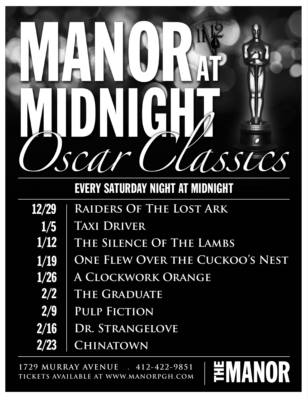

EVERY SATURDAY NIGHT AT MIDNIGHT

| 12/29 | <b>RAIDERS OF THE LOST ARK</b>         |
|-------|----------------------------------------|
| 1/5   | <b>TAXI DRIVER</b>                     |
| 1/12  | THE SILENCE OF THE LAMBS               |
| 1/19  | <b>ONE FLEW OVER THE CUCKOO'S NEST</b> |
| 1/26  | A CLOCKWORK ORANGE                     |
| 2/2   | THE GRADUATE                           |
| 2/9   | <b>PULP FICTION</b>                    |
| 2/16  | DR. STRANGELOVE                        |
| 2/23  | <b>CHINATOWN</b>                       |

≝MANOR

**1729 MURRAY AVENUE . 412-422-9851 TICKETS AVAILABLE AT WWW.MANORPGH.COM**